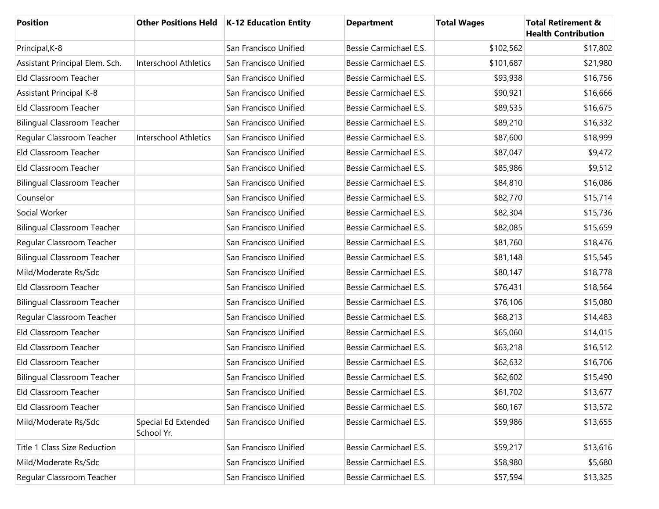| <b>Position</b>                    |                                   | Other Positions Held   K-12 Education Entity | <b>Department</b>      | <b>Total Wages</b> | <b>Total Retirement &amp;</b><br><b>Health Contribution</b> |
|------------------------------------|-----------------------------------|----------------------------------------------|------------------------|--------------------|-------------------------------------------------------------|
| Principal, K-8                     |                                   | San Francisco Unified                        | Bessie Carmichael E.S. | \$102,562          | \$17,802                                                    |
| Assistant Principal Elem. Sch.     | <b>Interschool Athletics</b>      | San Francisco Unified                        | Bessie Carmichael E.S. | \$101,687          | \$21,980                                                    |
| Eld Classroom Teacher              |                                   | San Francisco Unified                        | Bessie Carmichael E.S. | \$93,938           | \$16,756                                                    |
| <b>Assistant Principal K-8</b>     |                                   | San Francisco Unified                        | Bessie Carmichael E.S. | \$90,921           | \$16,666                                                    |
| Eld Classroom Teacher              |                                   | San Francisco Unified                        | Bessie Carmichael E.S. | \$89,535           | \$16,675                                                    |
| <b>Bilingual Classroom Teacher</b> |                                   | San Francisco Unified                        | Bessie Carmichael E.S. | \$89,210           | \$16,332                                                    |
| Regular Classroom Teacher          | Interschool Athletics             | San Francisco Unified                        | Bessie Carmichael E.S. | \$87,600           | \$18,999                                                    |
| Eld Classroom Teacher              |                                   | San Francisco Unified                        | Bessie Carmichael E.S. | \$87,047           | \$9,472                                                     |
| Eld Classroom Teacher              |                                   | San Francisco Unified                        | Bessie Carmichael E.S. | \$85,986           | \$9,512                                                     |
| <b>Bilingual Classroom Teacher</b> |                                   | San Francisco Unified                        | Bessie Carmichael E.S. | \$84,810           | \$16,086                                                    |
| Counselor                          |                                   | San Francisco Unified                        | Bessie Carmichael E.S. | \$82,770           | \$15,714                                                    |
| Social Worker                      |                                   | San Francisco Unified                        | Bessie Carmichael E.S. | \$82,304           | \$15,736                                                    |
| <b>Bilingual Classroom Teacher</b> |                                   | San Francisco Unified                        | Bessie Carmichael E.S. | \$82,085           | \$15,659                                                    |
| Regular Classroom Teacher          |                                   | San Francisco Unified                        | Bessie Carmichael E.S. | \$81,760           | \$18,476                                                    |
| <b>Bilingual Classroom Teacher</b> |                                   | San Francisco Unified                        | Bessie Carmichael E.S. | \$81,148           | \$15,545                                                    |
| Mild/Moderate Rs/Sdc               |                                   | San Francisco Unified                        | Bessie Carmichael E.S. | \$80,147           | \$18,778                                                    |
| Eld Classroom Teacher              |                                   | San Francisco Unified                        | Bessie Carmichael E.S. | \$76,431           | \$18,564                                                    |
| <b>Bilingual Classroom Teacher</b> |                                   | San Francisco Unified                        | Bessie Carmichael E.S. | \$76,106           | \$15,080                                                    |
| Regular Classroom Teacher          |                                   | San Francisco Unified                        | Bessie Carmichael E.S. | \$68,213           | \$14,483                                                    |
| Eld Classroom Teacher              |                                   | San Francisco Unified                        | Bessie Carmichael E.S. | \$65,060           | \$14,015                                                    |
| Eld Classroom Teacher              |                                   | San Francisco Unified                        | Bessie Carmichael E.S. | \$63,218           | \$16,512                                                    |
| Eld Classroom Teacher              |                                   | San Francisco Unified                        | Bessie Carmichael E.S. | \$62,632           | \$16,706                                                    |
| <b>Bilingual Classroom Teacher</b> |                                   | San Francisco Unified                        | Bessie Carmichael E.S. | \$62,602           | \$15,490                                                    |
| Eld Classroom Teacher              |                                   | San Francisco Unified                        | Bessie Carmichael E.S. | \$61,702           | \$13,677                                                    |
| Eld Classroom Teacher              |                                   | San Francisco Unified                        | Bessie Carmichael E.S. | \$60,167           | \$13,572                                                    |
| Mild/Moderate Rs/Sdc               | Special Ed Extended<br>School Yr. | San Francisco Unified                        | Bessie Carmichael E.S. | \$59,986           | \$13,655                                                    |
| Title 1 Class Size Reduction       |                                   | San Francisco Unified                        | Bessie Carmichael E.S. | \$59,217           | \$13,616                                                    |
| Mild/Moderate Rs/Sdc               |                                   | San Francisco Unified                        | Bessie Carmichael E.S. | \$58,980           | \$5,680                                                     |
| Regular Classroom Teacher          |                                   | San Francisco Unified                        | Bessie Carmichael E.S. | \$57,594           | \$13,325                                                    |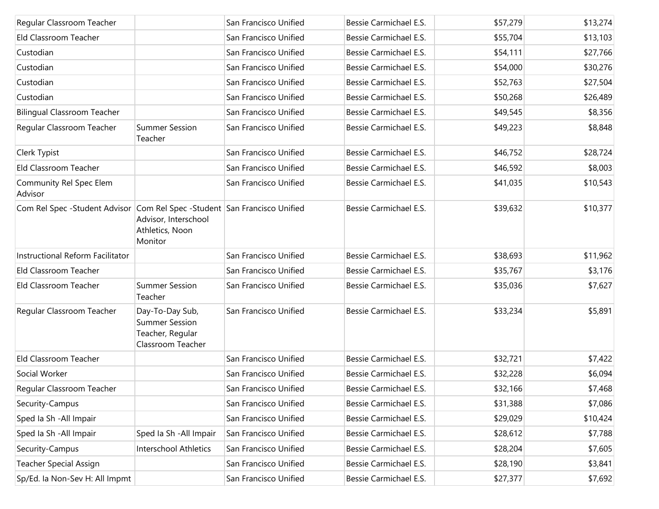| Regular Classroom Teacher                                                 |                                                                                   | San Francisco Unified | Bessie Carmichael E.S. | \$57,279 | \$13,274 |
|---------------------------------------------------------------------------|-----------------------------------------------------------------------------------|-----------------------|------------------------|----------|----------|
| Eld Classroom Teacher                                                     |                                                                                   | San Francisco Unified | Bessie Carmichael E.S. | \$55,704 | \$13,103 |
| Custodian                                                                 |                                                                                   | San Francisco Unified | Bessie Carmichael E.S. | \$54,111 | \$27,766 |
| Custodian                                                                 |                                                                                   | San Francisco Unified | Bessie Carmichael E.S. | \$54,000 | \$30,276 |
| Custodian                                                                 |                                                                                   | San Francisco Unified | Bessie Carmichael E.S. | \$52,763 | \$27,504 |
| Custodian                                                                 |                                                                                   | San Francisco Unified | Bessie Carmichael E.S. | \$50,268 | \$26,489 |
| <b>Bilingual Classroom Teacher</b>                                        |                                                                                   | San Francisco Unified | Bessie Carmichael E.S. | \$49,545 | \$8,356  |
| Regular Classroom Teacher                                                 | <b>Summer Session</b><br>Teacher                                                  | San Francisco Unified | Bessie Carmichael E.S. | \$49,223 | \$8,848  |
| Clerk Typist                                                              |                                                                                   | San Francisco Unified | Bessie Carmichael E.S. | \$46,752 | \$28,724 |
| Eld Classroom Teacher                                                     |                                                                                   | San Francisco Unified | Bessie Carmichael E.S. | \$46,592 | \$8,003  |
| Community Rel Spec Elem<br>Advisor                                        |                                                                                   | San Francisco Unified | Bessie Carmichael E.S. | \$41,035 | \$10,543 |
| Com Rel Spec -Student Advisor Com Rel Spec -Student San Francisco Unified | Advisor, Interschool<br>Athletics, Noon<br>Monitor                                |                       | Bessie Carmichael E.S. | \$39,632 | \$10,377 |
| Instructional Reform Facilitator                                          |                                                                                   | San Francisco Unified | Bessie Carmichael E.S. | \$38,693 | \$11,962 |
| Eld Classroom Teacher                                                     |                                                                                   | San Francisco Unified | Bessie Carmichael E.S. | \$35,767 | \$3,176  |
| Eld Classroom Teacher                                                     | <b>Summer Session</b><br>Teacher                                                  | San Francisco Unified | Bessie Carmichael E.S. | \$35,036 | \$7,627  |
| Regular Classroom Teacher                                                 | Day-To-Day Sub,<br><b>Summer Session</b><br>Teacher, Regular<br>Classroom Teacher | San Francisco Unified | Bessie Carmichael E.S. | \$33,234 | \$5,891  |
| Eld Classroom Teacher                                                     |                                                                                   | San Francisco Unified | Bessie Carmichael E.S. | \$32,721 | \$7,422  |
| Social Worker                                                             |                                                                                   | San Francisco Unified | Bessie Carmichael E.S. | \$32,228 | \$6,094  |
| Regular Classroom Teacher                                                 |                                                                                   | San Francisco Unified | Bessie Carmichael E.S. | \$32,166 | \$7,468  |
| Security-Campus                                                           |                                                                                   | San Francisco Unified | Bessie Carmichael E.S. | \$31,388 | \$7,086  |
| Sped Ia Sh - All Impair                                                   |                                                                                   | San Francisco Unified | Bessie Carmichael E.S. | \$29,029 | \$10,424 |
| Sped Ia Sh - All Impair                                                   | Sped Ia Sh - All Impair                                                           | San Francisco Unified | Bessie Carmichael E.S. | \$28,612 | \$7,788  |
| Security-Campus                                                           | <b>Interschool Athletics</b>                                                      | San Francisco Unified | Bessie Carmichael E.S. | \$28,204 | \$7,605  |
| <b>Teacher Special Assign</b>                                             |                                                                                   | San Francisco Unified | Bessie Carmichael E.S. | \$28,190 | \$3,841  |
| Sp/Ed. la Non-Sev H: All Impmt                                            |                                                                                   | San Francisco Unified | Bessie Carmichael E.S. | \$27,377 | \$7,692  |